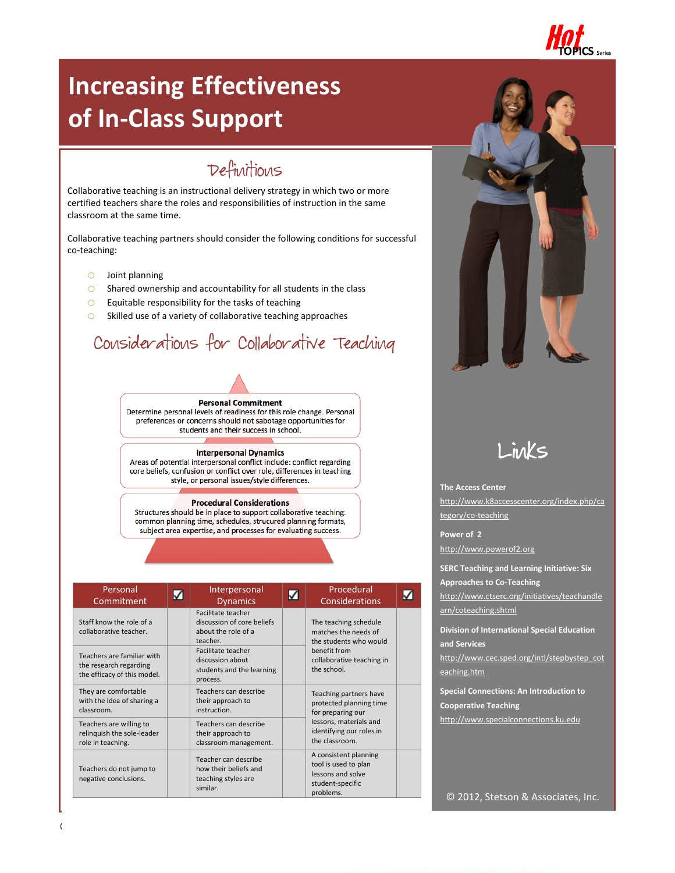

# **Increasing Effectiveness of In-Class Support**

# Definitions

Collaborative teaching is an instructional delivery strategy in which two or more certified teachers share the roles and responsibilities of instruction in the same classroom at the same time.

Collaborative teaching partners should consider the following conditions for successful co-teaching:

- o Joint planning
- o Shared ownership and accountability for all students in the class
- $\circ$  Equitable responsibility for the tasks of teaching
- o Skilled use of a variety of collaborative teaching approaches

# Considerations for Collaborative Teaching



Determine personal levels of readiness for this role change. Personal preferences or concerns should not sabotage opportunities for students and their success in school.

#### **Interpersonal Dynamics**

Areas of potential interpersonal conflict include: conflict regarding core beliefs, confusion or conflict over role, differences in teaching style, or personal issues/style differences.

#### **Procedural Considerations**

Structures should be in place to support collaborative teaching: common planning time, schedules, strucured planning formats, subject area expertise, and processes for evaluating success.

| Personal<br>Commitment                                                              | ✓ | Interpersonal<br><b>Dynamics</b>                                                       | Procedural<br>Considerations                                                                        |  |
|-------------------------------------------------------------------------------------|---|----------------------------------------------------------------------------------------|-----------------------------------------------------------------------------------------------------|--|
| Staff know the role of a<br>collaborative teacher.                                  |   | Facilitate teacher<br>discussion of core beliefs<br>about the role of a<br>teacher.    | The teaching schedule<br>matches the needs of<br>the students who would                             |  |
| Teachers are familiar with<br>the research regarding<br>the efficacy of this model. |   | <b>Facilitate teacher</b><br>discussion about<br>students and the learning<br>process. | benefit from<br>collaborative teaching in<br>the school.                                            |  |
| They are comfortable<br>with the idea of sharing a<br>classroom.                    |   | Teachers can describe<br>their approach to<br>instruction.                             | Teaching partners have<br>protected planning time<br>for preparing our                              |  |
| Teachers are willing to<br>relinquish the sole-leader<br>role in teaching.          |   | Teachers can describe<br>their approach to<br>classroom management.                    | lessons, materials and<br>identifying our roles in<br>the classroom.                                |  |
| Teachers do not jump to<br>negative conclusions.                                    |   | Teacher can describe<br>how their beliefs and<br>teaching styles are<br>similar.       | A consistent planning<br>tool is used to plan<br>lessons and solve<br>student-specific<br>problems. |  |





#### **The Access Center**

[http://www.k8accesscenter.org/index.php/ca](http://www.k8accesscenter.org/index.php/category/co-teaching) [tegory/co-teaching](http://www.k8accesscenter.org/index.php/category/co-teaching)

**Power of 2** [http://www.powerof2.org](http://www.powerof2.org/)

**SERC Teaching and Learning Initiative: Six Approaches to Co-Teaching**

[http://www.ctserc.org/initiatives/teachandle](http://www.ctserc.org/initiatives/teachandlearn/coteaching.shtml) [arn/coteaching.shtml](http://www.ctserc.org/initiatives/teachandlearn/coteaching.shtml)

**Division of International Special Education and Services**

[http://www.cec.sped.org/intl/stepbystep\\_cot](http://www.cec.sped.org/intl/stepbystep_coteaching.htm) [eaching.htm](http://www.cec.sped.org/intl/stepbystep_coteaching.htm)

**Special Connections: An Introduction to Cooperative Teaching** [http://www.specialconnections.ku.edu](http://www.specialconnections.ku.edu/)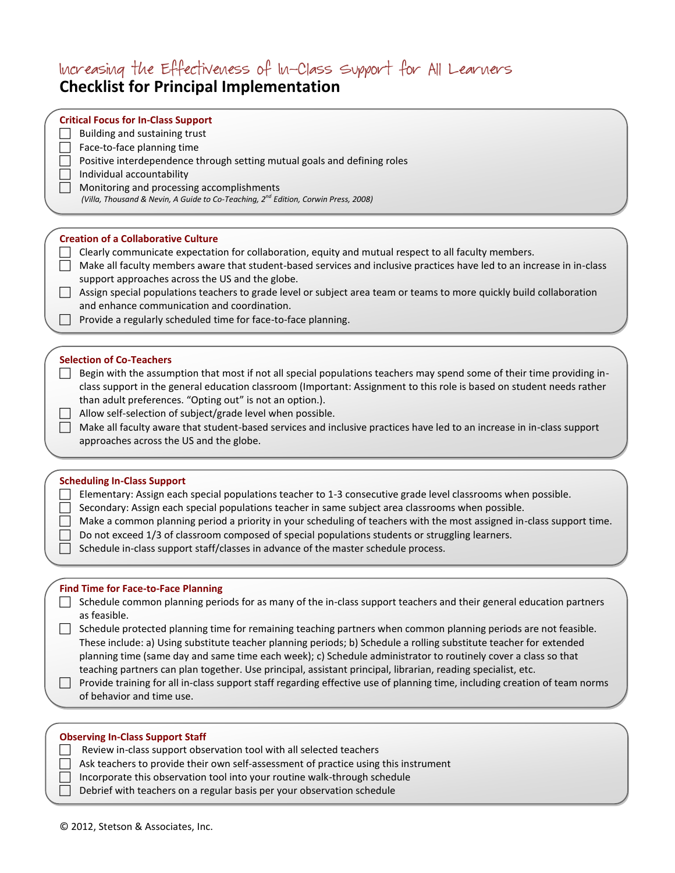# Increasing the Effectiveness of In-Class Support for All Learners

# **Checklist for Principal Implementation**

## **Critical Focus for In-Class Support**

Building and sustaining trust

 $\Box$  Face-to-face planning time

- **Positive interdependence through setting mutual goals and defining roles**
- Individual accountability

**Monitoring and processing accomplishments** 

 *(Villa, Thousand & Nevin, A Guide to Co-Teaching, 2nd Edition, Corwin Press, 2008)*

## **Creation of a Collaborative Culture**

- $\Box$  Clearly communicate expectation for collaboration, equity and mutual respect to all faculty members.
- Make all faculty members aware that student-based services and inclusive practices have led to an increase in in-class support approaches across the US and the globe.
- $\Box$  Assign special populations teachers to grade level or subject area team or teams to more quickly build collaboration and enhance communication and coordination.
- $\Box$  Provide a regularly scheduled time for face-to-face planning.

## **Selection of Co-Teachers**

 $\Box$  Begin with the assumption that most if not all special populations teachers may spend some of their time providing inclass support in the general education classroom (Important: Assignment to this role is based on student needs rather than adult preferences. "Opting out" is not an option.).

- $\Box$  Allow self-selection of subject/grade level when possible.
	- Make all faculty aware that student-based services and inclusive practices have led to an increase in in-class support approaches across the US and the globe.

## **Scheduling In-Class Support**

Elementary: Assign each special populations teacher to 1-3 consecutive grade level classrooms when possible.

Secondary: Assign each special populations teacher in same subject area classrooms when possible.

- $\Box$  Make a common planning period a priority in your scheduling of teachers with the most assigned in-class support time.
	- Do not exceed 1/3 of classroom composed of special populations students or struggling learners.
- $\Box$  Schedule in-class support staff/classes in advance of the master schedule process.

## **Find Time for Face-to-Face Planning**

- $\Box$  Schedule common planning periods for as many of the in-class support teachers and their general education partners as feasible.
- Schedule protected planning time for remaining teaching partners when common planning periods are not feasible. These include: a) Using substitute teacher planning periods; b) Schedule a rolling substitute teacher for extended planning time (same day and same time each week); c) Schedule administrator to routinely cover a class so that teaching partners can plan together. Use principal, assistant principal, librarian, reading specialist, etc.

| These include: a) Using substitute teacher planning periods; b) Schedule a rolling substitute teacher for extended<br>planning time (same day and same time each week); c) Schedule administrator to routinely cover a class so that<br>teaching partners can plan together. Use principal, assistant principal, librarian, reading specialist, etc.<br>Provide training for all in-class support staff regarding effective use of planning time, including creation of team norms |
|------------------------------------------------------------------------------------------------------------------------------------------------------------------------------------------------------------------------------------------------------------------------------------------------------------------------------------------------------------------------------------------------------------------------------------------------------------------------------------|
| of behavior and time use.                                                                                                                                                                                                                                                                                                                                                                                                                                                          |
|                                                                                                                                                                                                                                                                                                                                                                                                                                                                                    |
| <b>Observing In-Class Support Staff</b>                                                                                                                                                                                                                                                                                                                                                                                                                                            |
| Review in-class support observation tool with all selected teachers                                                                                                                                                                                                                                                                                                                                                                                                                |
| Ask teachers to provide their own self-assessment of practice using this instrument                                                                                                                                                                                                                                                                                                                                                                                                |
| Incorporate this observation tool into your routine walk-through schedule                                                                                                                                                                                                                                                                                                                                                                                                          |
| Debrief with teachers on a regular basis per your observation schedule                                                                                                                                                                                                                                                                                                                                                                                                             |